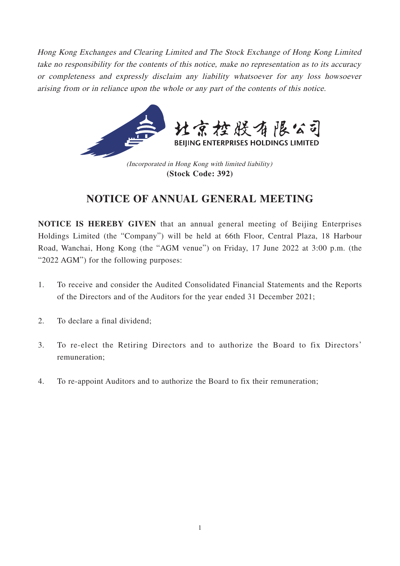Hong Kong Exchanges and Clearing Limited and The Stock Exchange of Hong Kong Limited take no responsibility for the contents of this notice, make no representation as to its accuracy or completeness and expressly disclaim any liability whatsoever for any loss howsoever arising from or in reliance upon the whole or any part of the contents of this notice.



(Incorporated in Hong Kong with limited liability) **(Stock Code: 392)**

# **NOTICE OF ANNUAL GENERAL MEETING**

**NOTICE IS HEREBY GIVEN** that an annual general meeting of Beijing Enterprises Holdings Limited (the "Company") will be held at 66th Floor, Central Plaza, 18 Harbour Road, Wanchai, Hong Kong (the "AGM venue") on Friday, 17 June 2022 at 3:00 p.m. (the "2022 AGM") for the following purposes:

- 1. To receive and consider the Audited Consolidated Financial Statements and the Reports of the Directors and of the Auditors for the year ended 31 December 2021;
- 2. To declare a final dividend;
- 3. To re-elect the Retiring Directors and to authorize the Board to fix Directors' remuneration;
- 4. To re-appoint Auditors and to authorize the Board to fix their remuneration;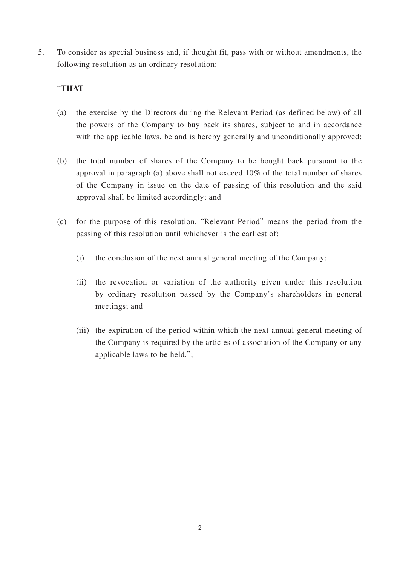5. To consider as special business and, if thought fit, pass with or without amendments, the following resolution as an ordinary resolution:

## "**THAT**

- (a) the exercise by the Directors during the Relevant Period (as defined below) of all the powers of the Company to buy back its shares, subject to and in accordance with the applicable laws, be and is hereby generally and unconditionally approved;
- (b) the total number of shares of the Company to be bought back pursuant to the approval in paragraph (a) above shall not exceed 10% of the total number of shares of the Company in issue on the date of passing of this resolution and the said approval shall be limited accordingly; and
- (c) for the purpose of this resolution, "Relevant Period" means the period from the passing of this resolution until whichever is the earliest of:
	- (i) the conclusion of the next annual general meeting of the Company;
	- (ii) the revocation or variation of the authority given under this resolution by ordinary resolution passed by the Company's shareholders in general meetings; and
	- (iii) the expiration of the period within which the next annual general meeting of the Company is required by the articles of association of the Company or any applicable laws to be held.";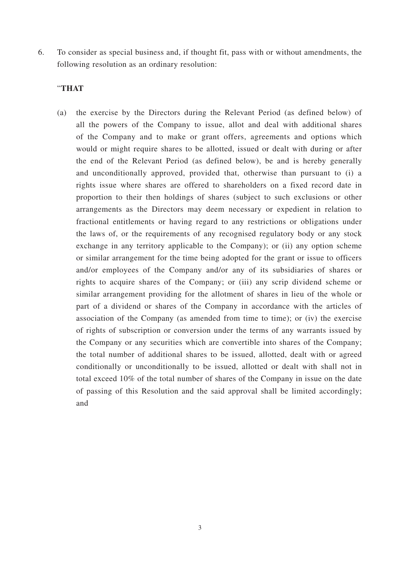6. To consider as special business and, if thought fit, pass with or without amendments, the following resolution as an ordinary resolution:

### "**THAT**

(a) the exercise by the Directors during the Relevant Period (as defined below) of all the powers of the Company to issue, allot and deal with additional shares of the Company and to make or grant offers, agreements and options which would or might require shares to be allotted, issued or dealt with during or after the end of the Relevant Period (as defined below), be and is hereby generally and unconditionally approved, provided that, otherwise than pursuant to (i) a rights issue where shares are offered to shareholders on a fixed record date in proportion to their then holdings of shares (subject to such exclusions or other arrangements as the Directors may deem necessary or expedient in relation to fractional entitlements or having regard to any restrictions or obligations under the laws of, or the requirements of any recognised regulatory body or any stock exchange in any territory applicable to the Company); or (ii) any option scheme or similar arrangement for the time being adopted for the grant or issue to officers and/or employees of the Company and/or any of its subsidiaries of shares or rights to acquire shares of the Company; or (iii) any scrip dividend scheme or similar arrangement providing for the allotment of shares in lieu of the whole or part of a dividend or shares of the Company in accordance with the articles of association of the Company (as amended from time to time); or (iv) the exercise of rights of subscription or conversion under the terms of any warrants issued by the Company or any securities which are convertible into shares of the Company; the total number of additional shares to be issued, allotted, dealt with or agreed conditionally or unconditionally to be issued, allotted or dealt with shall not in total exceed 10% of the total number of shares of the Company in issue on the date of passing of this Resolution and the said approval shall be limited accordingly; and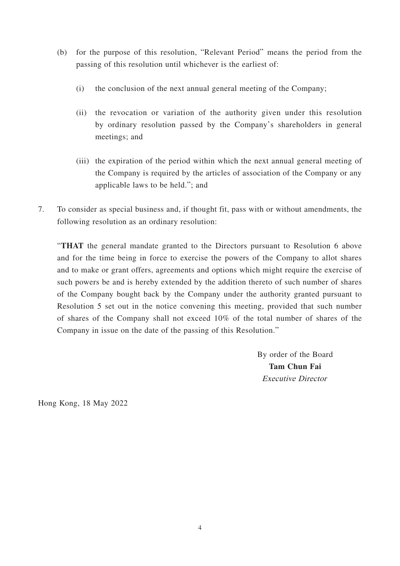- (b) for the purpose of this resolution, "Relevant Period" means the period from the passing of this resolution until whichever is the earliest of:
	- (i) the conclusion of the next annual general meeting of the Company;
	- (ii) the revocation or variation of the authority given under this resolution by ordinary resolution passed by the Company's shareholders in general meetings; and
	- (iii) the expiration of the period within which the next annual general meeting of the Company is required by the articles of association of the Company or any applicable laws to be held."; and
- 7. To consider as special business and, if thought fit, pass with or without amendments, the following resolution as an ordinary resolution:

"**THAT** the general mandate granted to the Directors pursuant to Resolution 6 above and for the time being in force to exercise the powers of the Company to allot shares and to make or grant offers, agreements and options which might require the exercise of such powers be and is hereby extended by the addition thereto of such number of shares of the Company bought back by the Company under the authority granted pursuant to Resolution 5 set out in the notice convening this meeting, provided that such number of shares of the Company shall not exceed 10% of the total number of shares of the Company in issue on the date of the passing of this Resolution."

> By order of the Board **Tam Chun Fai** Executive Director

Hong Kong, 18 May 2022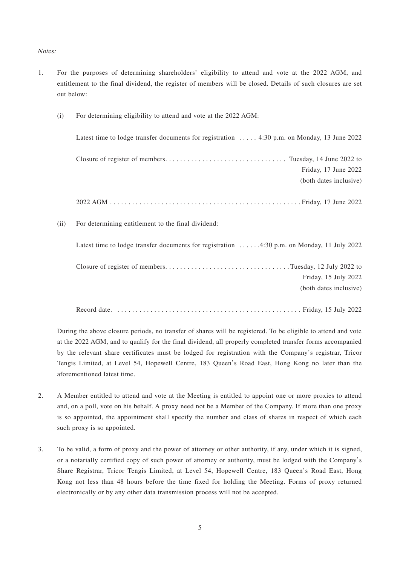#### Notes:

1. For the purposes of determining shareholders' eligibility to attend and vote at the 2022 AGM, and entitlement to the final dividend, the register of members will be closed. Details of such closures are set out below:

(i) For determining eligibility to attend and vote at the 2022 AGM:

|      | Latest time to lodge transfer documents for registration  4:30 p.m. on Monday, 13 June 2022 |
|------|---------------------------------------------------------------------------------------------|
|      | Friday, 17 June 2022                                                                        |
|      | (both dates inclusive)                                                                      |
|      |                                                                                             |
| (ii) | For determining entitlement to the final dividend:                                          |
|      |                                                                                             |
|      | Latest time to lodge transfer documents for registration 4:30 p.m. on Monday, 11 July 2022  |
|      |                                                                                             |
|      | Friday, 15 July 2022                                                                        |
|      | (both dates inclusive)                                                                      |
|      |                                                                                             |
|      |                                                                                             |

During the above closure periods, no transfer of shares will be registered. To be eligible to attend and vote at the 2022 AGM, and to qualify for the final dividend, all properly completed transfer forms accompanied by the relevant share certificates must be lodged for registration with the Company's registrar, Tricor Tengis Limited, at Level 54, Hopewell Centre, 183 Queen's Road East, Hong Kong no later than the aforementioned latest time.

- 2. A Member entitled to attend and vote at the Meeting is entitled to appoint one or more proxies to attend and, on a poll, vote on his behalf. A proxy need not be a Member of the Company. If more than one proxy is so appointed, the appointment shall specify the number and class of shares in respect of which each such proxy is so appointed.
- 3. To be valid, a form of proxy and the power of attorney or other authority, if any, under which it is signed, or a notarially certified copy of such power of attorney or authority, must be lodged with the Company's Share Registrar, Tricor Tengis Limited, at Level 54, Hopewell Centre, 183 Queen's Road East, Hong Kong not less than 48 hours before the time fixed for holding the Meeting. Forms of proxy returned electronically or by any other data transmission process will not be accepted.